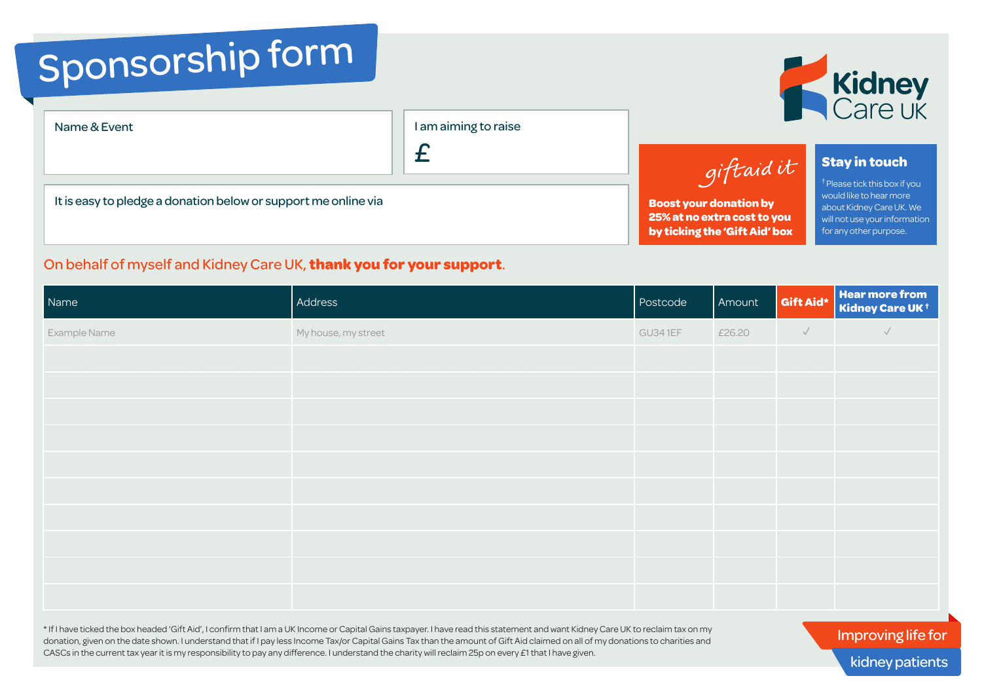## Sponsorship form

| Name & Event |  |  |
|--------------|--|--|
|--------------|--|--|

Name & Event I am aiming to raise

£

It is easy to pledge a donation below or support me online via

## On behalf of myself and Kidney Care UK, **thank you for your support**.

Name **Address Postcode Amount Construction Construction of the Amount Amount Construction of the Construction of the Second Amount Construction of the Second Amount Construction of the Amount Constru<mark>en</mark>t Aid and the Const Kidney Care UK †** Example Name  $\sim$  My house, my street  $\sim$  My house, my street  $\sim$  GU34 1EF  $\sim$  E26.20  $\sim$   $\sim$   $\sim$ \* If I have ticked the box headed 'Gift Aid', I confirm that I am a UK Income or Capital Gains taxpayer. I have read this statement and want Kidney Care UK to reclaim tax on my

donation, given on the date shown. I understand that if I pay less Income Tax/or Capital Gains Tax than the amount of Gift Aid claimed on all of my donations to charities and CASCs in the current tax year it is my responsibility to pay any difference. I understand the charity will reclaim 25p on every £1 that I have given.

giftaidit **Stay in touch** † Please tick this box if you **Boost your donation by 25% at no extra cost to you** 

**by ticking the 'Gift Aid' box**

would like to hear more about Kidney Care UK. We will not use your information for any other purpose.



Improving life for kidney patients